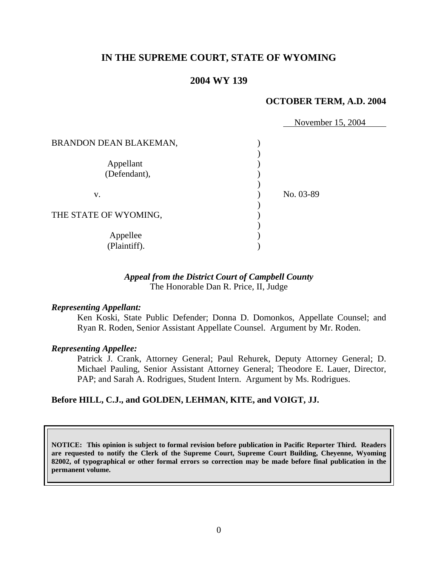# **IN THE SUPREME COURT, STATE OF WYOMING**

### **2004 WY 139**

### **OCTOBER TERM, A.D. 2004**

November 15, 2004

| BRANDON DEAN BLAKEMAN,    |           |  |
|---------------------------|-----------|--|
| Appellant<br>(Defendant), |           |  |
| V.                        | No. 03-89 |  |
| THE STATE OF WYOMING,     |           |  |
| Appellee<br>(Plaintiff).  |           |  |

### *Appeal from the District Court of Campbell County* The Honorable Dan R. Price, II, Judge

### *Representing Appellant:*

Ken Koski, State Public Defender; Donna D. Domonkos, Appellate Counsel; and Ryan R. Roden, Senior Assistant Appellate Counsel. Argument by Mr. Roden.

#### *Representing Appellee:*

Patrick J. Crank, Attorney General; Paul Rehurek, Deputy Attorney General; D. Michael Pauling, Senior Assistant Attorney General; Theodore E. Lauer, Director, PAP; and Sarah A. Rodrigues, Student Intern. Argument by Ms. Rodrigues.

### **Before HILL, C.J., and GOLDEN, LEHMAN, KITE, and VOIGT, JJ.**

**NOTICE: This opinion is subject to formal revision before publication in Pacific Reporter Third. Readers are requested to notify the Clerk of the Supreme Court, Supreme Court Building, Cheyenne, Wyoming 82002, of typographical or other formal errors so correction may be made before final publication in the permanent volume.**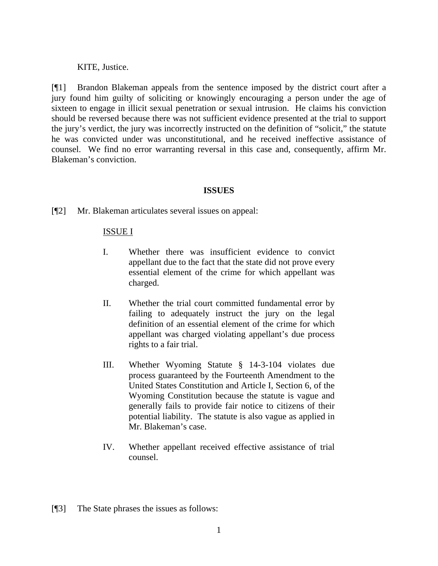KITE, Justice.

[¶1] Brandon Blakeman appeals from the sentence imposed by the district court after a jury found him guilty of soliciting or knowingly encouraging a person under the age of sixteen to engage in illicit sexual penetration or sexual intrusion. He claims his conviction should be reversed because there was not sufficient evidence presented at the trial to support the jury's verdict, the jury was incorrectly instructed on the definition of "solicit," the statute he was convicted under was unconstitutional, and he received ineffective assistance of counsel. We find no error warranting reversal in this case and, consequently, affirm Mr. Blakeman's conviction.

## **ISSUES**

[¶2] Mr. Blakeman articulates several issues on appeal:

## ISSUE I

- I. Whether there was insufficient evidence to convict appellant due to the fact that the state did not prove every essential element of the crime for which appellant was charged.
- II. Whether the trial court committed fundamental error by failing to adequately instruct the jury on the legal definition of an essential element of the crime for which appellant was charged violating appellant's due process rights to a fair trial.
- III. Whether Wyoming Statute § 14-3-104 violates due process guaranteed by the Fourteenth Amendment to the United States Constitution and Article I, Section 6, of the Wyoming Constitution because the statute is vague and generally fails to provide fair notice to citizens of their potential liability. The statute is also vague as applied in Mr. Blakeman's case.
- IV. Whether appellant received effective assistance of trial counsel.
- [¶3] The State phrases the issues as follows: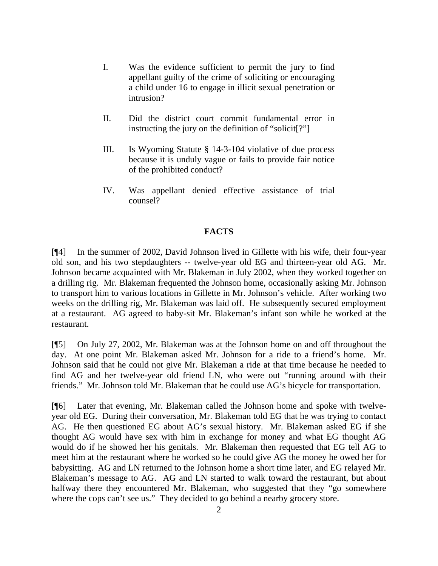- I. Was the evidence sufficient to permit the jury to find appellant guilty of the crime of soliciting or encouraging a child under 16 to engage in illicit sexual penetration or intrusion?
- II. Did the district court commit fundamental error in instructing the jury on the definition of "solicit[?"]
- III. Is Wyoming Statute § 14-3-104 violative of due process because it is unduly vague or fails to provide fair notice of the prohibited conduct?
- IV. Was appellant denied effective assistance of trial counsel?

#### **FACTS**

[¶4] In the summer of 2002, David Johnson lived in Gillette with his wife, their four-year old son, and his two stepdaughters -- twelve-year old EG and thirteen-year old AG. Mr. Johnson became acquainted with Mr. Blakeman in July 2002, when they worked together on a drilling rig. Mr. Blakeman frequented the Johnson home, occasionally asking Mr. Johnson to transport him to various locations in Gillette in Mr. Johnson's vehicle. After working two weeks on the drilling rig, Mr. Blakeman was laid off. He subsequently secured employment at a restaurant. AG agreed to baby-sit Mr. Blakeman's infant son while he worked at the restaurant.

[¶5] On July 27, 2002, Mr. Blakeman was at the Johnson home on and off throughout the day. At one point Mr. Blakeman asked Mr. Johnson for a ride to a friend's home. Mr. Johnson said that he could not give Mr. Blakeman a ride at that time because he needed to find AG and her twelve-year old friend LN, who were out "running around with their friends." Mr. Johnson told Mr. Blakeman that he could use AG's bicycle for transportation.

[¶6] Later that evening, Mr. Blakeman called the Johnson home and spoke with twelveyear old EG. During their conversation, Mr. Blakeman told EG that he was trying to contact AG. He then questioned EG about AG's sexual history. Mr. Blakeman asked EG if she thought AG would have sex with him in exchange for money and what EG thought AG would do if he showed her his genitals. Mr. Blakeman then requested that EG tell AG to meet him at the restaurant where he worked so he could give AG the money he owed her for babysitting. AG and LN returned to the Johnson home a short time later, and EG relayed Mr. Blakeman's message to AG. AG and LN started to walk toward the restaurant, but about halfway there they encountered Mr. Blakeman, who suggested that they "go somewhere where the cops can't see us." They decided to go behind a nearby grocery store.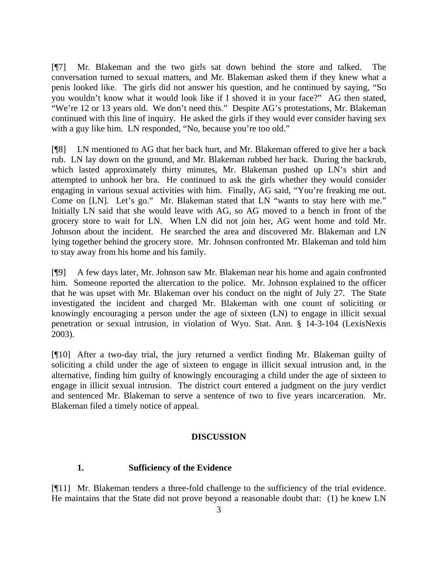[¶7] Mr. Blakeman and the two girls sat down behind the store and talked. The conversation turned to sexual matters, and Mr. Blakeman asked them if they knew what a penis looked like. The girls did not answer his question, and he continued by saying, "So you wouldn't know what it would look like if I shoved it in your face?" AG then stated, "We're 12 or 13 years old. We don't need this." Despite AG's protestations, Mr. Blakeman continued with this line of inquiry. He asked the girls if they would ever consider having sex with a guy like him. LN responded, "No, because you're too old."

[¶8] LN mentioned to AG that her back hurt, and Mr. Blakeman offered to give her a back rub. LN lay down on the ground, and Mr. Blakeman rubbed her back. During the backrub, which lasted approximately thirty minutes, Mr. Blakeman pushed up LN's shirt and attempted to unhook her bra. He continued to ask the girls whether they would consider engaging in various sexual activities with him. Finally, AG said, "You're freaking me out. Come on [LN]. Let's go." Mr. Blakeman stated that LN "wants to stay here with me." Initially LN said that she would leave with AG, so AG moved to a bench in front of the grocery store to wait for LN. When LN did not join her, AG went home and told Mr. Johnson about the incident. He searched the area and discovered Mr. Blakeman and LN lying together behind the grocery store. Mr. Johnson confronted Mr. Blakeman and told him to stay away from his home and his family.

[¶9] A few days later, Mr. Johnson saw Mr. Blakeman near his home and again confronted him. Someone reported the altercation to the police. Mr. Johnson explained to the officer that he was upset with Mr. Blakeman over his conduct on the night of July 27. The State investigated the incident and charged Mr. Blakeman with one count of soliciting or knowingly encouraging a person under the age of sixteen (LN) to engage in illicit sexual penetration or sexual intrusion, in violation of Wyo. Stat. Ann. § 14-3-104 (LexisNexis 2003).

[¶10] After a two-day trial, the jury returned a verdict finding Mr. Blakeman guilty of soliciting a child under the age of sixteen to engage in illicit sexual intrusion and, in the alternative, finding him guilty of knowingly encouraging a child under the age of sixteen to engage in illicit sexual intrusion. The district court entered a judgment on the jury verdict and sentenced Mr. Blakeman to serve a sentence of two to five years incarceration. Mr. Blakeman filed a timely notice of appeal.

### **DISCUSSION**

### **1. Sufficiency of the Evidence**

[¶11] Mr. Blakeman tenders a three-fold challenge to the sufficiency of the trial evidence. He maintains that the State did not prove beyond a reasonable doubt that: (1) he knew LN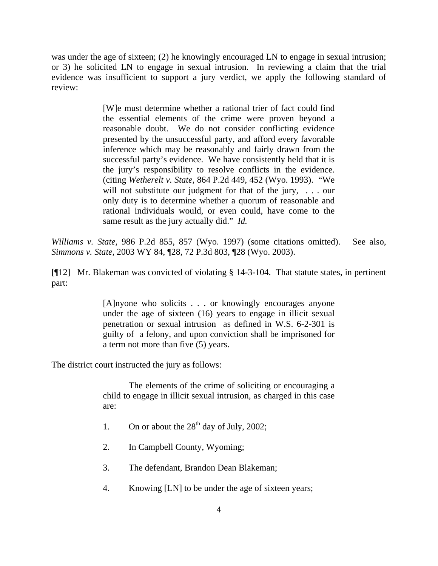was under the age of sixteen; (2) he knowingly encouraged LN to engage in sexual intrusion; or 3) he solicited LN to engage in sexual intrusion. In reviewing a claim that the trial evidence was insufficient to support a jury verdict, we apply the following standard of review:

> [W]e must determine whether a rational trier of fact could find the essential elements of the crime were proven beyond a reasonable doubt. We do not consider conflicting evidence presented by the unsuccessful party, and afford every favorable inference which may be reasonably and fairly drawn from the successful party's evidence. We have consistently held that it is the jury's responsibility to resolve conflicts in the evidence. (citing *Wetherelt v. State,* 864 P.2d 449, 452 (Wyo. 1993). "We will not substitute our judgment for that of the jury, ... our only duty is to determine whether a quorum of reasonable and rational individuals would, or even could, have come to the same result as the jury actually did." *Id.*

*Williams v. State,* 986 P.2d 855, 857 (Wyo. 1997) (some citations omitted). See also, *Simmons v. State,* 2003 WY 84, ¶28, 72 P.3d 803, ¶28 (Wyo. 2003).

[¶12] Mr. Blakeman was convicted of violating § 14-3-104. That statute states, in pertinent part:

> [A]nyone who solicits . . . or knowingly encourages anyone under the age of sixteen (16) years to engage in illicit sexual penetration or sexual intrusion as defined in W.S. 6-2-301 is guilty of a felony, and upon conviction shall be imprisoned for a term not more than five (5) years.

The district court instructed the jury as follows:

The elements of the crime of soliciting or encouraging a child to engage in illicit sexual intrusion, as charged in this case are:

- 1. On or about the  $28<sup>th</sup>$  day of July, 2002;
- 2. In Campbell County, Wyoming;
- 3. The defendant, Brandon Dean Blakeman;
- 4. Knowing [LN] to be under the age of sixteen years;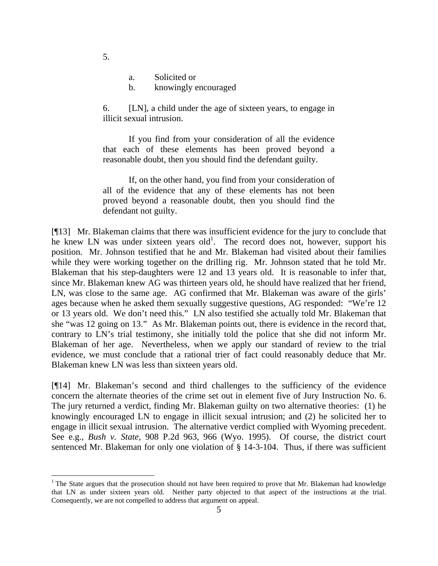- a. Solicited or
- b. knowingly encouraged

6. [LN], a child under the age of sixteen years, to engage in illicit sexual intrusion.

If you find from your consideration of all the evidence that each of these elements has been proved beyond a reasonable doubt, then you should find the defendant guilty.

If, on the other hand, you find from your consideration of all of the evidence that any of these elements has not been proved beyond a reasonable doubt, then you should find the defendant not guilty.

[¶13] Mr. Blakeman claims that there was insufficient evidence for the jury to conclude that he knew LN was under sixteen years  $old<sup>1</sup>$ . The record does not, however, support his position. Mr. Johnson testified that he and Mr. Blakeman had visited about their families while they were working together on the drilling rig. Mr. Johnson stated that he told Mr. Blakeman that his step-daughters were 12 and 13 years old. It is reasonable to infer that, since Mr. Blakeman knew AG was thirteen years old, he should have realized that her friend, LN, was close to the same age. AG confirmed that Mr. Blakeman was aware of the girls' ages because when he asked them sexually suggestive questions, AG responded: "We're 12 or 13 years old. We don't need this." LN also testified she actually told Mr. Blakeman that she "was 12 going on 13." As Mr. Blakeman points out, there is evidence in the record that, contrary to LN's trial testimony, she initially told the police that she did not inform Mr. Blakeman of her age. Nevertheless, when we apply our standard of review to the trial evidence, we must conclude that a rational trier of fact could reasonably deduce that Mr. Blakeman knew LN was less than sixteen years old.

[¶14] Mr. Blakeman's second and third challenges to the sufficiency of the evidence concern the alternate theories of the crime set out in element five of Jury Instruction No. 6. The jury returned a verdict, finding Mr. Blakeman guilty on two alternative theories: (1) he knowingly encouraged LN to engage in illicit sexual intrusion; and (2) he solicited her to engage in illicit sexual intrusion. The alternative verdict complied with Wyoming precedent. See e.g., *Bush v. State,* 908 P.2d 963, 966 (Wyo. 1995). Of course, the district court sentenced Mr. Blakeman for only one violation of § 14-3-104. Thus, if there was sufficient

5.

 <sup>1</sup> The State argues that the prosecution should not have been required to prove that Mr. Blakeman had knowledge that LN as under sixteen years old. Neither party objected to that aspect of the instructions at the trial. Consequently, we are not compelled to address that argument on appeal.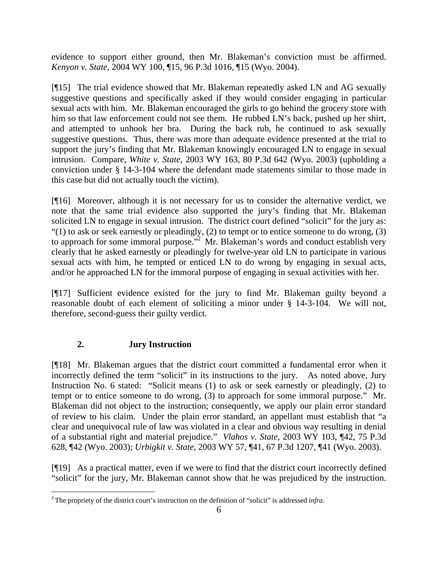evidence to support either ground, then Mr. Blakeman's conviction must be affirmed. *Kenyon v. State,* 2004 WY 100, ¶15, 96 P.3d 1016, ¶15 (Wyo. 2004).

[¶15] The trial evidence showed that Mr. Blakeman repeatedly asked LN and AG sexually suggestive questions and specifically asked if they would consider engaging in particular sexual acts with him. Mr. Blakeman encouraged the girls to go behind the grocery store with him so that law enforcement could not see them. He rubbed LN's back, pushed up her shirt, and attempted to unhook her bra. During the back rub, he continued to ask sexually suggestive questions. Thus, there was more than adequate evidence presented at the trial to support the jury's finding that Mr. Blakeman knowingly encouraged LN to engage in sexual intrusion. Compare, *White v. State,* 2003 WY 163, 80 P.3d 642 (Wyo. 2003) (upholding a conviction under § 14-3-104 where the defendant made statements similar to those made in this case but did not actually touch the victim).

[¶16] Moreover, although it is not necessary for us to consider the alternative verdict, we note that the same trial evidence also supported the jury's finding that Mr. Blakeman solicited LN to engage in sexual intrusion. The district court defined "solicit" for the jury as: " $(1)$  to ask or seek earnestly or pleadingly,  $(2)$  to tempt or to entice someone to do wrong,  $(3)$ to approach for some immoral purpose."<sup>2</sup> Mr. Blakeman's words and conduct establish very clearly that he asked earnestly or pleadingly for twelve-year old LN to participate in various sexual acts with him, he tempted or enticed LN to do wrong by engaging in sexual acts, and/or he approached LN for the immoral purpose of engaging in sexual activities with her.

[¶17] Sufficient evidence existed for the jury to find Mr. Blakeman guilty beyond a reasonable doubt of each element of soliciting a minor under § 14-3-104. We will not, therefore, second-guess their guilty verdict.

# **2. Jury Instruction**

l

[¶18] Mr. Blakeman argues that the district court committed a fundamental error when it incorrectly defined the term "solicit" in its instructions to the jury. As noted above, Jury Instruction No. 6 stated: "Solicit means (1) to ask or seek earnestly or pleadingly, (2) to tempt or to entice someone to do wrong, (3) to approach for some immoral purpose." Mr. Blakeman did not object to the instruction; consequently, we apply our plain error standard of review to his claim. Under the plain error standard, an appellant must establish that "a clear and unequivocal rule of law was violated in a clear and obvious way resulting in denial of a substantial right and material prejudice." *Vlahos v. State,* 2003 WY 103, ¶42, 75 P.3d 628, ¶42 (Wyo. 2003); *Urbigkit v. State,* 2003 WY 57, ¶41, 67 P.3d 1207, ¶41 (Wyo. 2003).

[¶19] As a practical matter, even if we were to find that the district court incorrectly defined "solicit" for the jury, Mr. Blakeman cannot show that he was prejudiced by the instruction.

<sup>2</sup> The propriety of the district court's instruction on the definition of "solicit" is addressed *infra.*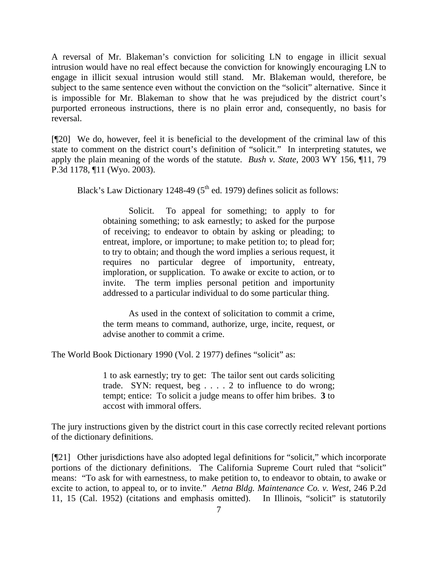A reversal of Mr. Blakeman's conviction for soliciting LN to engage in illicit sexual intrusion would have no real effect because the conviction for knowingly encouraging LN to engage in illicit sexual intrusion would still stand. Mr. Blakeman would, therefore, be subject to the same sentence even without the conviction on the "solicit" alternative. Since it is impossible for Mr. Blakeman to show that he was prejudiced by the district court's purported erroneous instructions, there is no plain error and, consequently, no basis for reversal.

[¶20] We do, however, feel it is beneficial to the development of the criminal law of this state to comment on the district court's definition of "solicit." In interpreting statutes, we apply the plain meaning of the words of the statute. *Bush v. State,* 2003 WY 156, ¶11, 79 P.3d 1178, ¶11 (Wyo. 2003).

Black's Law Dictionary 1248-49 ( $5<sup>th</sup>$  ed. 1979) defines solicit as follows:

Solicit. To appeal for something; to apply to for obtaining something; to ask earnestly; to asked for the purpose of receiving; to endeavor to obtain by asking or pleading; to entreat, implore, or importune; to make petition to; to plead for; to try to obtain; and though the word implies a serious request, it requires no particular degree of importunity, entreaty, imploration, or supplication. To awake or excite to action, or to invite. The term implies personal petition and importunity addressed to a particular individual to do some particular thing.

 As used in the context of solicitation to commit a crime, the term means to command, authorize, urge, incite, request, or advise another to commit a crime.

The World Book Dictionary 1990 (Vol. 2 1977) defines "solicit" as:

1 to ask earnestly; try to get: The tailor sent out cards soliciting trade. SYN: request, beg . . . . 2 to influence to do wrong; tempt; entice: To solicit a judge means to offer him bribes. **3** to accost with immoral offers.

The jury instructions given by the district court in this case correctly recited relevant portions of the dictionary definitions.

[¶21] Other jurisdictions have also adopted legal definitions for "solicit," which incorporate portions of the dictionary definitions. The California Supreme Court ruled that "solicit" means: "To ask for with earnestness, to make petition to, to endeavor to obtain, to awake or excite to action, to appeal to, or to invite." *Aetna Bldg. Maintenance Co. v. West,* 246 P.2d 11, 15 (Cal. 1952) (citations and emphasis omitted). In Illinois, "solicit" is statutorily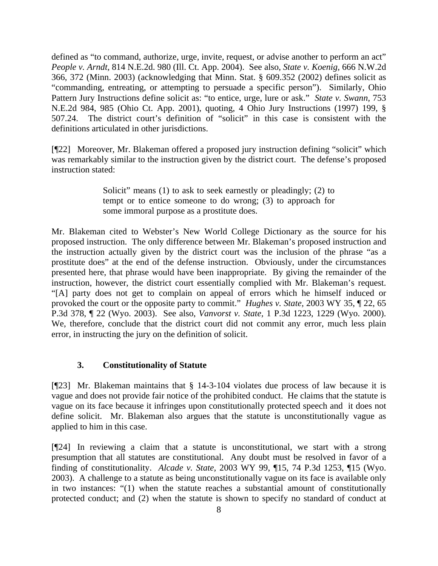defined as "to command, authorize, urge, invite, request, or advise another to perform an act" *People v. Arndt,* 814 N.E.2d. 980 (Ill. Ct. App. 2004). See also, *State v. Koenig,* 666 N.W.2d 366, 372 (Minn. 2003) (acknowledging that Minn. Stat. § 609.352 (2002) defines solicit as "commanding, entreating, or attempting to persuade a specific person"). Similarly, Ohio Pattern Jury Instructions define solicit as: "to entice, urge, lure or ask." *State v. Swann,* 753 N.E.2d 984, 985 (Ohio Ct. App. 2001), quoting, 4 Ohio Jury Instructions (1997) 199, § 507.24. The district court's definition of "solicit" in this case is consistent with the definitions articulated in other jurisdictions.

[¶22] Moreover, Mr. Blakeman offered a proposed jury instruction defining "solicit" which was remarkably similar to the instruction given by the district court. The defense's proposed instruction stated:

> Solicit" means (1) to ask to seek earnestly or pleadingly; (2) to tempt or to entice someone to do wrong; (3) to approach for some immoral purpose as a prostitute does.

Mr. Blakeman cited to Webster's New World College Dictionary as the source for his proposed instruction. The only difference between Mr. Blakeman's proposed instruction and the instruction actually given by the district court was the inclusion of the phrase "as a prostitute does" at the end of the defense instruction. Obviously, under the circumstances presented here, that phrase would have been inappropriate. By giving the remainder of the instruction, however, the district court essentially complied with Mr. Blakeman's request. "[A] party does not get to complain on appeal of errors which he himself induced or provoked the court or the opposite party to commit." *Hughes v. State,* 2003 WY 35, ¶ 22, 65 P.3d 378, ¶ 22 (Wyo. 2003). See also, *Vanvorst v. State,* 1 P.3d 1223, 1229 (Wyo. 2000). We, therefore, conclude that the district court did not commit any error, much less plain error, in instructing the jury on the definition of solicit.

### **3. Constitutionality of Statute**

[¶23] Mr. Blakeman maintains that § 14-3-104 violates due process of law because it is vague and does not provide fair notice of the prohibited conduct. He claims that the statute is vague on its face because it infringes upon constitutionally protected speech and it does not define solicit. Mr. Blakeman also argues that the statute is unconstitutionally vague as applied to him in this case.

[¶24] In reviewing a claim that a statute is unconstitutional, we start with a strong presumption that all statutes are constitutional. Any doubt must be resolved in favor of a finding of constitutionality. *Alcade v. State,* 2003 WY 99, ¶15, 74 P.3d 1253, ¶15 (Wyo. 2003). A challenge to a statute as being unconstitutionally vague on its face is available only in two instances: "(1) when the statute reaches a substantial amount of constitutionally protected conduct; and (2) when the statute is shown to specify no standard of conduct at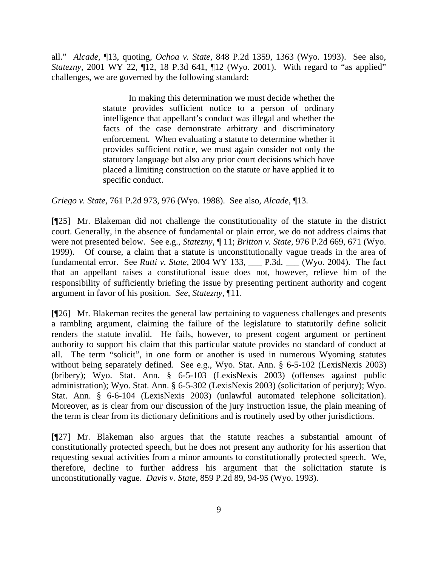all." *Alcade,* ¶13, quoting*, Ochoa v. State,* 848 P.2d 1359, 1363 (Wyo. 1993). See also, *Statezny*, 2001 WY 22, 12, 18 P.3d 641, 112 (Wyo. 2001). With regard to "as applied" challenges, we are governed by the following standard:

> In making this determination we must decide whether the statute provides sufficient notice to a person of ordinary intelligence that appellant's conduct was illegal and whether the facts of the case demonstrate arbitrary and discriminatory enforcement. When evaluating a statute to determine whether it provides sufficient notice, we must again consider not only the statutory language but also any prior court decisions which have placed a limiting construction on the statute or have applied it to specific conduct.

*Griego v. State,* 761 P.2d 973, 976 (Wyo. 1988). See also, *Alcade,* ¶13.

[¶25] Mr. Blakeman did not challenge the constitutionality of the statute in the district court. Generally, in the absence of fundamental or plain error, we do not address claims that were not presented below. See e.g., *Statezny*, ¶ 11; *Britton v. State,* 976 P.2d 669, 671 (Wyo. 1999). Of course, a claim that a statute is unconstitutionally vague treads in the area of fundamental error. See *Rutti v. State,* 2004 WY 133, \_\_\_ P.3d. \_\_\_ (Wyo. 2004). The fact that an appellant raises a constitutional issue does not, however, relieve him of the responsibility of sufficiently briefing the issue by presenting pertinent authority and cogent argument in favor of his position. *See*, *Statezny*, ¶11.

[¶26] Mr. Blakeman recites the general law pertaining to vagueness challenges and presents a rambling argument, claiming the failure of the legislature to statutorily define solicit renders the statute invalid. He fails, however, to present cogent argument or pertinent authority to support his claim that this particular statute provides no standard of conduct at all. The term "solicit", in one form or another is used in numerous Wyoming statutes without being separately defined. See e.g., Wyo. Stat. Ann. § 6-5-102 (LexisNexis 2003) (bribery); Wyo. Stat. Ann. § 6-5-103 (LexisNexis 2003) (offenses against public administration); Wyo. Stat. Ann. § 6-5-302 (LexisNexis 2003) (solicitation of perjury); Wyo. Stat. Ann. § 6-6-104 (LexisNexis 2003) (unlawful automated telephone solicitation). Moreover, as is clear from our discussion of the jury instruction issue, the plain meaning of the term is clear from its dictionary definitions and is routinely used by other jurisdictions.

[¶27] Mr. Blakeman also argues that the statute reaches a substantial amount of constitutionally protected speech, but he does not present any authority for his assertion that requesting sexual activities from a minor amounts to constitutionally protected speech. We, therefore, decline to further address his argument that the solicitation statute is unconstitutionally vague. *Davis v. State,* 859 P.2d 89, 94-95 (Wyo. 1993).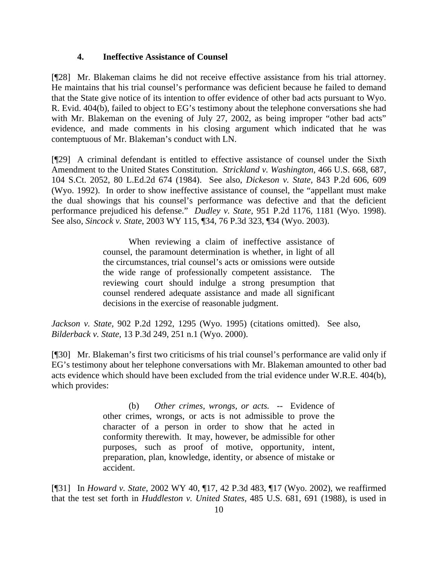### **4. Ineffective Assistance of Counsel**

[¶28] Mr. Blakeman claims he did not receive effective assistance from his trial attorney. He maintains that his trial counsel's performance was deficient because he failed to demand that the State give notice of its intention to offer evidence of other bad acts pursuant to Wyo. R. Evid. 404(b), failed to object to EG's testimony about the telephone conversations she had with Mr. Blakeman on the evening of July 27, 2002, as being improper "other bad acts" evidence, and made comments in his closing argument which indicated that he was contemptuous of Mr. Blakeman's conduct with LN.

[¶29] A criminal defendant is entitled to effective assistance of counsel under the Sixth Amendment to the United States Constitution. *Strickland v. Washington,* 466 U.S. 668, 687, 104 S.Ct. 2052, 80 L.Ed.2d 674 (1984). See also, *Dickeson v. State,* 843 P.2d 606, 609 (Wyo. 1992). In order to show ineffective assistance of counsel, the "appellant must make the dual showings that his counsel's performance was defective and that the deficient performance prejudiced his defense." *Dudley v. State,* 951 P.2d 1176, 1181 (Wyo. 1998). See also, *Sincock v. State*, 2003 WY 115, ¶34, 76 P.3d 323, ¶34 (Wyo. 2003).

> When reviewing a claim of ineffective assistance of counsel, the paramount determination is whether, in light of all the circumstances, trial counsel's acts or omissions were outside the wide range of professionally competent assistance. The reviewing court should indulge a strong presumption that counsel rendered adequate assistance and made all significant decisions in the exercise of reasonable judgment.

*Jackson v. State,* 902 P.2d 1292, 1295 (Wyo. 1995) (citations omitted). See also, *Bilderback v. State,* 13 P.3d 249, 251 n.1 (Wyo. 2000).

[¶30] Mr. Blakeman's first two criticisms of his trial counsel's performance are valid only if EG's testimony about her telephone conversations with Mr. Blakeman amounted to other bad acts evidence which should have been excluded from the trial evidence under W.R.E. 404(b), which provides:

> (b) *Other crimes, wrongs, or acts.* -- Evidence of other crimes, wrongs, or acts is not admissible to prove the character of a person in order to show that he acted in conformity therewith. It may, however, be admissible for other purposes, such as proof of motive, opportunity, intent, preparation, plan, knowledge, identity, or absence of mistake or accident.

[¶31] In *Howard v. State,* 2002 WY 40, ¶17, 42 P.3d 483, ¶17 (Wyo. 2002), we reaffirmed that the test set forth in *Huddleston v. United States,* 485 U.S. 681, 691 (1988), is used in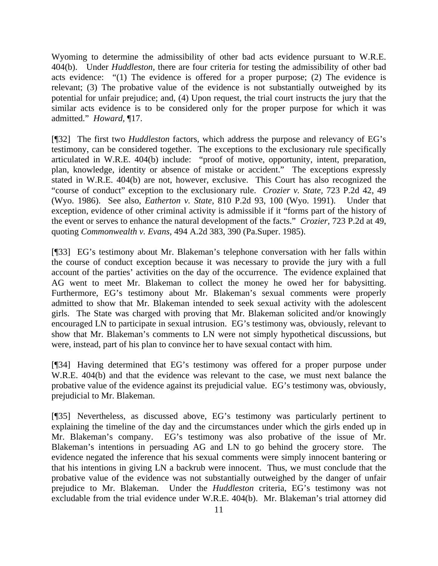Wyoming to determine the admissibility of other bad acts evidence pursuant to W.R.E. 404(b). Under *Huddleston,* there are four criteria for testing the admissibility of other bad acts evidence: "(1) The evidence is offered for a proper purpose; (2) The evidence is relevant; (3) The probative value of the evidence is not substantially outweighed by its potential for unfair prejudice; and, (4) Upon request, the trial court instructs the jury that the similar acts evidence is to be considered only for the proper purpose for which it was admitted." *Howard,* ¶17.

[¶32] The first two *Huddleston* factors, which address the purpose and relevancy of EG's testimony, can be considered together. The exceptions to the exclusionary rule specifically articulated in W.R.E. 404(b) include: "proof of motive, opportunity, intent, preparation, plan, knowledge, identity or absence of mistake or accident." The exceptions expressly stated in W.R.E. 404(b) are not, however, exclusive. This Court has also recognized the "course of conduct" exception to the exclusionary rule. *Crozier v. State,* 723 P.2d 42, 49 (Wyo. 1986). See also, *Eatherton v. State,* 810 P.2d 93, 100 (Wyo. 1991). Under that exception, evidence of other criminal activity is admissible if it "forms part of the history of the event or serves to enhance the natural development of the facts." *Crozier,* 723 P.2d at 49, quoting *Commonwealth v. Evans,* 494 A.2d 383, 390 (Pa.Super. 1985).

[¶33] EG's testimony about Mr. Blakeman's telephone conversation with her falls within the course of conduct exception because it was necessary to provide the jury with a full account of the parties' activities on the day of the occurrence. The evidence explained that AG went to meet Mr. Blakeman to collect the money he owed her for babysitting. Furthermore, EG's testimony about Mr. Blakeman's sexual comments were properly admitted to show that Mr. Blakeman intended to seek sexual activity with the adolescent girls. The State was charged with proving that Mr. Blakeman solicited and/or knowingly encouraged LN to participate in sexual intrusion. EG's testimony was, obviously, relevant to show that Mr. Blakeman's comments to LN were not simply hypothetical discussions, but were, instead, part of his plan to convince her to have sexual contact with him.

[¶34] Having determined that EG's testimony was offered for a proper purpose under W.R.E. 404(b) and that the evidence was relevant to the case, we must next balance the probative value of the evidence against its prejudicial value. EG's testimony was, obviously, prejudicial to Mr. Blakeman.

[¶35] Nevertheless, as discussed above*,* EG's testimony was particularly pertinent to explaining the timeline of the day and the circumstances under which the girls ended up in Mr. Blakeman's company. EG's testimony was also probative of the issue of Mr. Blakeman's intentions in persuading AG and LN to go behind the grocery store. The evidence negated the inference that his sexual comments were simply innocent bantering or that his intentions in giving LN a backrub were innocent. Thus, we must conclude that the probative value of the evidence was not substantially outweighed by the danger of unfair prejudice to Mr. Blakeman. Under the *Huddleston* criteria, EG's testimony was not excludable from the trial evidence under W.R.E. 404(b). Mr. Blakeman's trial attorney did